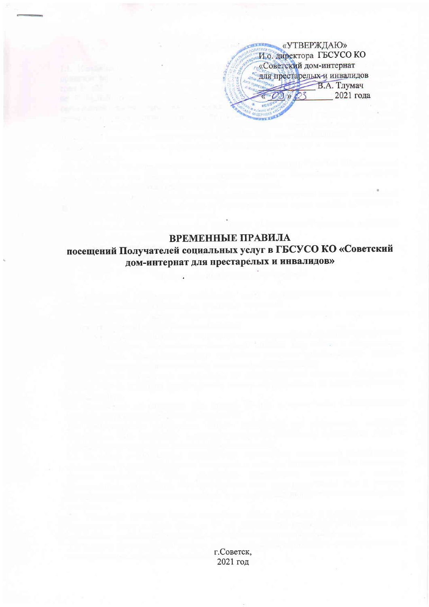«УТВЕРЖДАЮ» И.о. директора ГБСУСО КО «Советский дом-интернат яля престарелых и инвалидов В.А. Тлумач 2021 года  $\mathcal{P}$ 

## ВРЕМЕННЫЕ ПРАВИЛА посещений Получателей социальных услуг в ГБСУСО КО «Советский дом-интернат для престарелых и инвалидов»

г.Советск, 2021 год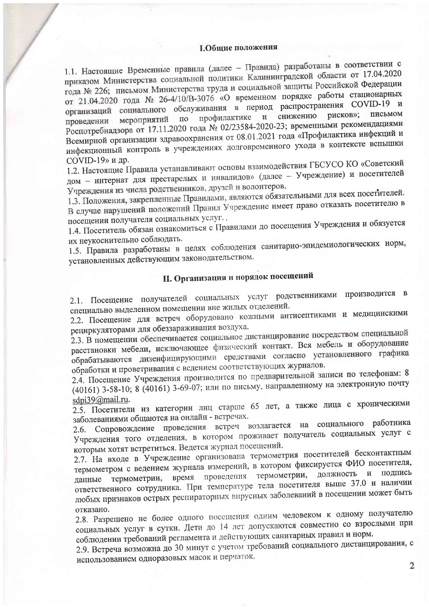## **І.Общие положения**

1.1. Настоящие Временные правила (далее - Правила) разработаны в соответствии с приказом Министерства социальной политики Калининградской области от 17.04.2020 года № 226; письмом Министерства труда и социальной защиты Российской Федерации от 21.04.2020 года № 26-4/10/В-3076 «О временном порядке работы стационарных организаций социального обслуживания в период распространения COVID-19 и рисков»; письмом снижению профилактике  $\mathbf{M}$ мероприятий  $\Pi$ <sup>o</sup> проведении Роспотребнадзора от 17.11.2020 года № 02/23584-2020-23; временными рекомендациями Всемирной организации здравоохранения от 08.01.2021 года «Профилактика инфекций и инфекционный контроль в учреждениях долговременного ухода в контексте вспышки COVID-19» и др.

1.2. Настоящие Правила устанавливают основы взаимодействия ГБСУСО КО «Советский дом - интернат для престарелых и инвалидов» (далее - Учреждение) и посетителей Учреждения из числа родственников, друзей и волонтеров.

1.3. Положения, закрепленные Правилами, являются обязательными для всех посетителей. В случае нарушений положений Правил Учреждение имеет право отказать посетителю в посещении получателя социальных услуг.

1.4. Посетитель обязан ознакомиться с Правилами до посещения Учреждения и обязуется их неукоснительно соблюдать.

1.5. Правила разработаны в целях соблюдения санитарно-эпидемиологических норм, установленных действующим законодательством.

## II. Организация и порядок посещений

2.1. Посещение получателей социальных услуг родственниками производится в специально выделенном помещении вне жилых отделений.

2.2. Посещение для встреч оборудовано кожными антисептиками и медицинскими рециркуляторами для обеззараживания воздуха.

2.3. В помещении обеспечивается социальное дистанцирование посредством специальной расстановки мебели, исключающее физический контакт. Вся мебель и оборудование обрабатываются дизенфицирующими средствами согласно установленного графика обработки и проветривания с ведением соответствующих журналов.

2.4. Посещение Учреждения производится по предварительной записи по телефонам: 8 (40161) 3-58-10; 8 (40161) 3-69-07; или по письму, направленному на электронную почту sdpi39@mail.ru.

2.5. Посетители из категории лиц старше 65 лет, а также лица с хроническими заболеваниями общаются на онлайн - встречах.

2.6. Сопровождение проведения встреч возлагается на социального работника Учреждения того отделения, в котором проживает получатель социальных услуг с которым хотят встретиться. Ведется журнал посещений.

2.7. На входе в Учреждение организована термометрия посетителей бесконтактным термометром с ведением журнала измерений, в котором фиксируется ФИО посетителя, данные термометрии, время проведения термометрии, должность и подпись ответственного сотрудника. При температуре тела посетителя выше 37.0 и наличии любых признаков острых респираторных вирусных заболеваний в посещении может быть отказано.

2.8. Разрешено не более одного посещения одним человеком к одному получателю социальных услуг в сутки. Дети до 14 лет допускаются совместно со взрослыми при соблюдении требований регламента и действующих санитарных правил и норм.

2.9. Встреча возможна до 30 минут с учетом требований социального дистанцирования, с использованием одноразовых масок и перчаток.

 $\overline{2}$